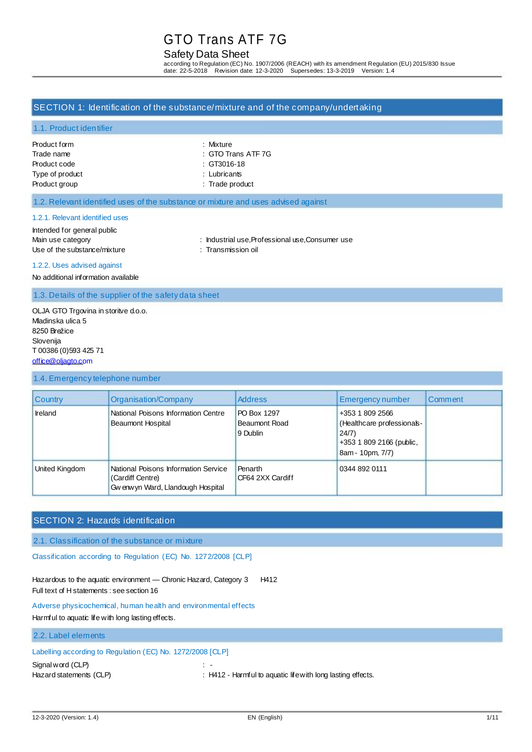#### Safety Data Sheet

according to Regulation (EC) No. 1907/2006 (REACH) with its amendment Regulation (EU) 2015/830 Issue<br>date: 22-5-2018 Revision date: 12-3-2020 Supersedes: 13-3-2019 Version: 1.4 date: 22-5-2018 Revision date: 12-3-2020

#### SECTION 1: Identification of the substance/mixture and of the company/undertaking

#### 1.1. Product identifier

| Product form    | : Mixture              |
|-----------------|------------------------|
| Trade name      | : GTO Trans ATF 7G     |
| Product code    | $\therefore$ GT3016-18 |
| Type of product | : Lubricants           |
| Product group   | : Trade product        |

| : Mixture        |
|------------------|
| :GTO Trans ATF 7 |
| : GT3016-18      |
| $:$ Lubricants   |

#### 1.2. Relevant identified uses of the substance or mixture and uses advised against

#### 1.2.1. Relevant identified uses

Intended for general public Use of the substance/mixture : Transmission oil

- Main use category **industrial use, Professional use, Consumer use** : Industrial use, Professional use, Consumer use
- 1.2.2. Uses advised against

No additional information available

1.3. Details of the supplier of the safety data sheet

#### OLJA GTO Trgovina in storitve d.o.o. Mladinska ulica 5 8250 Brežice Slovenija T 00386 (0)593 425 71 [office@oljagto.com](mailto:office@oljagto.com)

#### 1.4. Emergency telephone number

| <b>Country</b> | Organisation/Company                                                                           | <b>Address</b>                           | Emergency number                                                                                       | Comment |
|----------------|------------------------------------------------------------------------------------------------|------------------------------------------|--------------------------------------------------------------------------------------------------------|---------|
| Ireland        | National Poisons Information Centre<br>Beaumont Hospital                                       | PO Box 1297<br>Beaumont Road<br>9 Dublin | +353 1 809 2566<br>(Healthcare professionals-<br>24/7)<br>+353 1 809 2166 (public,<br>8am - 10pm, 7/7) |         |
| United Kingdom | National Poisons Information Service<br>(Cardiff Centre)<br>Gw enw yn Ward, Llandough Hospital | Penarth<br>CF64 2XX Cardiff              | 0344 892 0111                                                                                          |         |

### SECTION 2: Hazards identification

2.1. Classification of the substance or mixture

Classification according to Regulation (EC) No. 1272/2008 [CLP]

Hazardous to the aquatic environment - Chronic Hazard, Category 3 H412 Full text of H statements : see section 16

Adverse physicochemical, human health and environmental effects Harmful to aquatic life with long lasting effects.

#### 2.2. Label elements

### Labelling according to Regulation (EC) No. 1272/2008 [CLP]

Signal word (CLP) : -

Hazard statements (CLP) : H412 - Harmful to aquatic life with long lasting effects.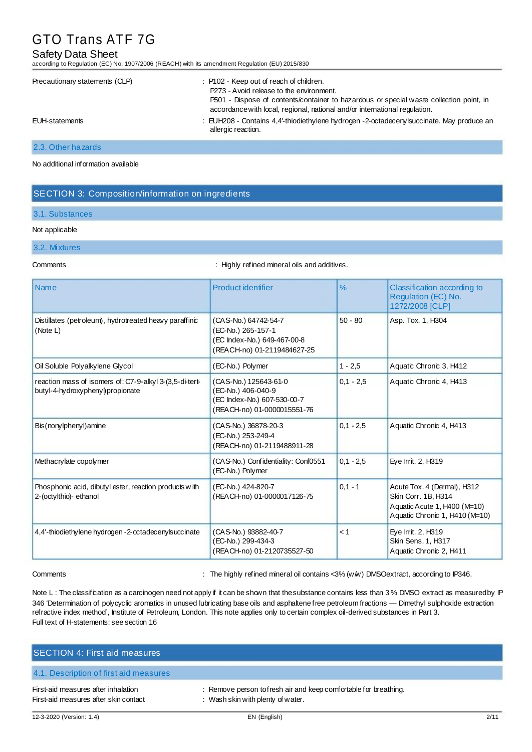#### Safety Data Sheet

according to Regulation (EC) No. 1907/2006 (REACH) with its amendment Regulation (EU) 2015/830

| Precautionary statements (CLP) | : P102 - Keep out of reach of children.<br>P273 - Avoid release to the environment.<br>P501 - Dispose of contents/container to hazardous or special waste collection point, in<br>accordance with local, regional, national and/or international regulation. |
|--------------------------------|--------------------------------------------------------------------------------------------------------------------------------------------------------------------------------------------------------------------------------------------------------------|
| EUH-statements                 | : EUH208 - Contains 4,4'-thiodiethylene hydrogen -2-octadecenylsuccinate. May produce an<br>allergic reaction.                                                                                                                                               |

#### 2.3. Other hazards

No additional information available

#### SECTION 3: Composition/information on ingredients

#### 3.1. Substances

#### Not applicable

### 3.2. Mixtures

Comments : Highly refined mineral oils and additives.

| <b>Name</b>                                                                                 | Product identifier                                                                                        | $\frac{9}{6}$ | Classification according to<br>Regulation (EC) No.<br>1272/2008 [CLP]                                                |
|---------------------------------------------------------------------------------------------|-----------------------------------------------------------------------------------------------------------|---------------|----------------------------------------------------------------------------------------------------------------------|
| Distillates (petroleum), hydrotreated heavy paraffinic<br>(Note L)                          | (CAS-No.) 64742-54-7<br>(EC-No.) 265-157-1<br>(EC Index-No.) 649-467-00-8<br>(REACH-no) 01-2119484627-25  | $50 - 80$     | Asp. Tox. 1, H304                                                                                                    |
| Oil Soluble Polyalkylene Glycol                                                             | (EC-No.) Polymer                                                                                          | $1 - 2.5$     | Aquatic Chronic 3, H412                                                                                              |
| reaction mass of isomers of: C7-9-alkyl 3-(3,5-di-tert-<br>butyl-4-hydroxyphenyl)propionate | (CAS-No.) 125643-61-0<br>(EC-No.) 406-040-9<br>(EC Index-No.) 607-530-00-7<br>(REACH-no) 01-0000015551-76 | $0.1 - 2.5$   | Aquatic Chronic 4, H413                                                                                              |
| Bis(nonylphenyl) amine                                                                      | (CAS-No.) 36878-20-3<br>(EC-No.) 253-249-4<br>(REACH-no) 01-2119488911-28                                 | $0.1 - 2.5$   | Aquatic Chronic 4, H413                                                                                              |
| Methacrylate copolymer                                                                      | (CAS-No.) Confidentiality: Conf0551<br>(EC-No.) Polymer                                                   | $0.1 - 2.5$   | Eye Irrit. 2, H319                                                                                                   |
| Phosphonic acid, dibutyl ester, reaction products with<br>2-(octylthio)- ethanol            | (EC-No.) 424-820-7<br>(REACH-no) 01-0000017126-75                                                         | $0.1 - 1$     | Acute Tox. 4 (Dermal), H312<br>Skin Corr. 1B, H314<br>Aquatic Acute 1, H400 (M=10)<br>Aquatic Chronic 1, H410 (M=10) |
| 4,4'-thiodiethylene hydrogen -2-octadecenylsuccinate                                        | (CAS-No.) 93882-40-7<br>(EC-No.) 299-434-3<br>(REACH-no) 01-2120735527-50                                 | < 1           | Eye Irrit. 2, H319<br>Skin Sens. 1, H317<br>Aquatic Chronic 2, H411                                                  |

Comments : The highly refined mineral oil contains <3% (w/w) DMSOextract, according to IP346.

Note L: The classification as a carcinogen need not apply if it can be shown that the substance contains less than 3% DMSO extract as measured by IP 346 'Determination of polycyclic aromatics in unused lubricating base oils and asphaltene free petroleum fractions — Dimethyl sulphoxide extraction refractive index method', Institute of Petroleum, London. This note applies only to certain complex oil-derived substances in Part 3. Full text of H-statements: see section 16

| <b>SECTION 4: First aid measures,</b>                                        |                                                                                                       |
|------------------------------------------------------------------------------|-------------------------------------------------------------------------------------------------------|
| 4.1. Description of first aid measures                                       |                                                                                                       |
| First-aid measures after inhalation<br>First-aid measures after skin contact | : Remove person to fresh air and keep comfortable for breathing.<br>: Wash skin with plenty of water. |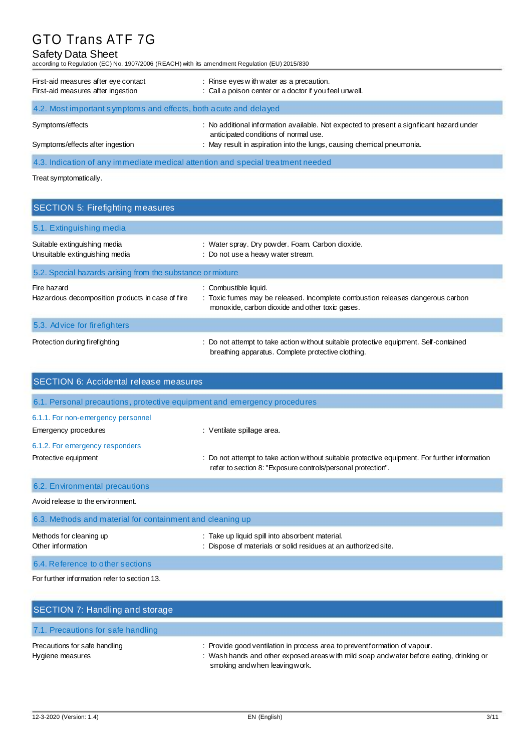### Safety Data Sheet

according to Regulation (EC) No. 1907/2006 (REACH) with its amendment Regulation (EU) 2015/830

| First-aid measures after eye contact<br>First-aid measures after ingestion | : Rinse eyes with water as a precaution.<br>: Call a poison center or a doctor if you feel unwell.                                 |
|----------------------------------------------------------------------------|------------------------------------------------------------------------------------------------------------------------------------|
| 4.2. Most important symptoms and effects, both a cute and delayed          |                                                                                                                                    |
| Symptoms/effects                                                           | : No additional information available. Not expected to present a significant hazard under<br>anticipated conditions of normal use. |
| Symptoms/effects after ingestion                                           | : May result in aspiration into the lungs, causing chemical pneumonia.                                                             |

4.3. Indication of any immediate medical attention and special treatment needed

Treat symptomatically.

| <b>SECTION 5: Firefighting measures</b>                         |                                                                                                                                                            |
|-----------------------------------------------------------------|------------------------------------------------------------------------------------------------------------------------------------------------------------|
| 5.1. Extinguishing media                                        |                                                                                                                                                            |
| Suitable extinguishing media<br>Unsuitable extinguishing media  | : Water spray. Dry powder. Foam. Carbon dioxide.<br>: Do not use a heavy water stream.                                                                     |
| 5.2. Special hazards arising from the substance or mixture      |                                                                                                                                                            |
| Fire hazard<br>Hazardous decomposition products in case of fire | : Combustible liquid.<br>: Toxic fumes may be released. Incomplete combustion releases dangerous carbon<br>monoxide, carbon dioxide and other toxic gases. |
| 5.3. Advice for fire fighters                                   |                                                                                                                                                            |
| Protection during firefighting                                  | : Do not attempt to take action without suitable protective equipment. Self-contained<br>breathing apparatus. Complete protective clothing.                |

| <b>SECTION 6: Accidental release measures</b>                            |                                                                                                                                                                |  |
|--------------------------------------------------------------------------|----------------------------------------------------------------------------------------------------------------------------------------------------------------|--|
| 6.1. Personal precautions, protective equipment and emergency procedures |                                                                                                                                                                |  |
| 6.1.1. For non-emergency personnel<br>Emergency procedures               | : Ventilate spillage area.                                                                                                                                     |  |
| 6.1.2. For emergency responders                                          |                                                                                                                                                                |  |
| Protective equipment                                                     | : Do not attempt to take action without suitable protective equipment. For further information<br>refer to section 8: "Exposure controls/personal protection". |  |
| 6.2. Environmental precautions                                           |                                                                                                                                                                |  |
| Avoid release to the environment.                                        |                                                                                                                                                                |  |
| 6.3. Methods and material for containment and cleaning up                |                                                                                                                                                                |  |
| Methods for cleaning up<br>Other information                             | : Take up liquid spill into absorbent material.<br>: Dispose of materials or solid residues at an authorized site.                                             |  |
| 6.4. Reference to other sections                                         |                                                                                                                                                                |  |
| For further information refer to section 13.                             |                                                                                                                                                                |  |

| SECTION 7: Handling and storage                   |                                                                                                                                                                                                         |
|---------------------------------------------------|---------------------------------------------------------------------------------------------------------------------------------------------------------------------------------------------------------|
| 7.1. Precautions for safe handling                |                                                                                                                                                                                                         |
| Precautions for safe handling<br>Hygiene measures | : Provide good ventilation in process area to preventformation of vapour.<br>: Wash hands and other exposed areas with mild soap and water before eating, drinking or<br>smoking and when leaving work. |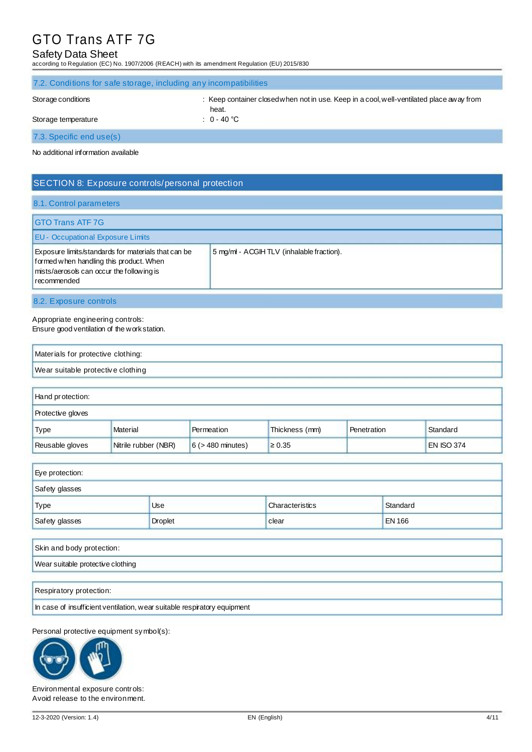#### Safety Data Sheet

according to Regulation (EC) No. 1907/2006 (REACH) with its amendment Regulation (EU) 2015/830

| 7.2. Conditions for safe storage, including any incompatibilities                                                       |               |  |
|-------------------------------------------------------------------------------------------------------------------------|---------------|--|
| : Keep container closed when not in use. Keep in a cool, well-ventilated place away from<br>Storage conditions<br>heat. |               |  |
| Storage temperature                                                                                                     | : $0 - 40$ °C |  |
| 7.3. Specific end use(s)                                                                                                |               |  |
| No additional information available                                                                                     |               |  |

### SECTION 8: Exposure controls/personal protection

#### 8.1. Control parameters

| <b>GTO Trans ATF 7G</b><br><b>EU - Occupational Exposure Limits</b>                                                                                        |                                          |
|------------------------------------------------------------------------------------------------------------------------------------------------------------|------------------------------------------|
| Exposure limits/standards for materials that can be<br>formed when handling this product. When<br>mists/aerosols can occur the following is<br>recommended | 5 mg/ml - ACGIHTLV (inhalable fraction). |

#### 8.2. Exposure controls

Appropriate engineering controls: Ensure good ventilation of the work station.

| Materials for protective clothing: |  |
|------------------------------------|--|
| Wear suitable protective clothing  |  |

| Hand protection:         |                      |                        |                |             |                   |
|--------------------------|----------------------|------------------------|----------------|-------------|-------------------|
| <b>Protective gloves</b> |                      |                        |                |             |                   |
| Type                     | Material             | Permeation             | Thickness (mm) | Penetration | Standard          |
| Reusable gloves          | Nitrile rubber (NBR) | $6$ ( $>$ 480 minutes) | $\geq 0.35$    |             | <b>EN ISO 374</b> |

| Eye protection: |                |                 |               |
|-----------------|----------------|-----------------|---------------|
| Safety glasses  |                |                 |               |
| Type            | Use            | Characteristics | Standard      |
| Safety glasses  | <b>Droplet</b> | clear           | <b>EN 166</b> |

| Skin and body protection:         |  |
|-----------------------------------|--|
| Wear suitable protective clothing |  |
|                                   |  |

Respiratory protection:

In case of insufficient ventilation, wear suitable respiratory equipment

Personal protective equipment symbol(s):



Environmental exposure controls: Avoid release to the environment.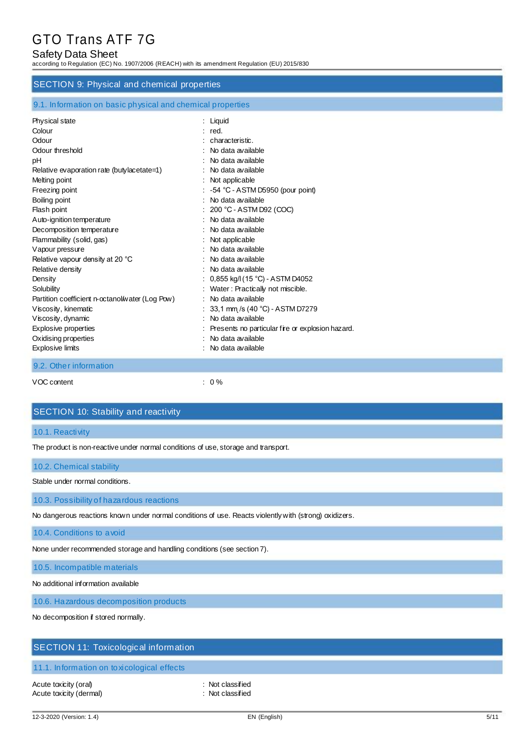#### Safety Data Sheet

according to Regulation (EC) No. 1907/2006 (REACH) with its amendment Regulation (EU) 2015/830

#### SECTION 9: Physical and chemical properties

| 9.1. Information on basic physical and chemical properties |  |  |
|------------------------------------------------------------|--|--|
|                                                            |  |  |

| Physical state                                  | $:$ Liquid                                       |
|-------------------------------------------------|--------------------------------------------------|
| Colour                                          | : red.                                           |
| Odour                                           | characteristic.                                  |
| Odour threshold                                 | No data available                                |
| рH                                              | No data available                                |
| Relative evaporation rate (butylacetate=1)      | No data available                                |
| Melting point                                   | : Not applicable                                 |
| Freezing point                                  | $-54$ °C - ASTM D5950 (pour point)               |
| Boiling point                                   | No data available                                |
| Flash point                                     | 200 °C - ASTM D92 (COC)                          |
| Auto-ignition temperature                       | No data available                                |
| Decomposition temperature                       | No data available                                |
| Flammability (solid, gas)                       | Not applicable                                   |
| Vapour pressure                                 | No data available                                |
| Relative vapour density at 20 °C                | No data available                                |
| Relative density                                | No data available                                |
| Density                                         | 0,855 kg/l (15 °C) - ASTM D4052                  |
| Solubility                                      | Water: Practically not miscible.                 |
| Partition coefficient n-octanol/water (Log Pow) | No data available                                |
| Viscosity, kinematic                            | 33,1 mm /s (40 °C) - ASTM D7279                  |
| Viscosity, dynamic                              | No data available                                |
| <b>Explosive properties</b>                     | Presents no particular fire or explosion hazard. |
| Oxidising properties                            | No data available                                |
| <b>Explosive limits</b>                         | No data available                                |
| 9.2. Other information                          |                                                  |

VOC content  $\qquad \qquad : \qquad 0\%$ 

#### SECTION 10: Stability and reactivity

#### 10.1. Reactivity

The product is non-reactive under normal conditions of use, storage and transport.

#### 10.2. Chemical stability

Stable under normal conditions.

10.3. Possibility of hazardous reactions

No dangerous reactions known under normal conditions of use. Reacts violently with (strong) oxidizers.

10.4. Conditions to avoid

None under recommended storage and handling conditions (see section 7).

10.5. Incompatible materials

No additional information available

10.6. Hazardous decomposition products

No decomposition if stored normally.

#### SECTION 11: Toxicological information

#### 11.1. Information on toxicological effects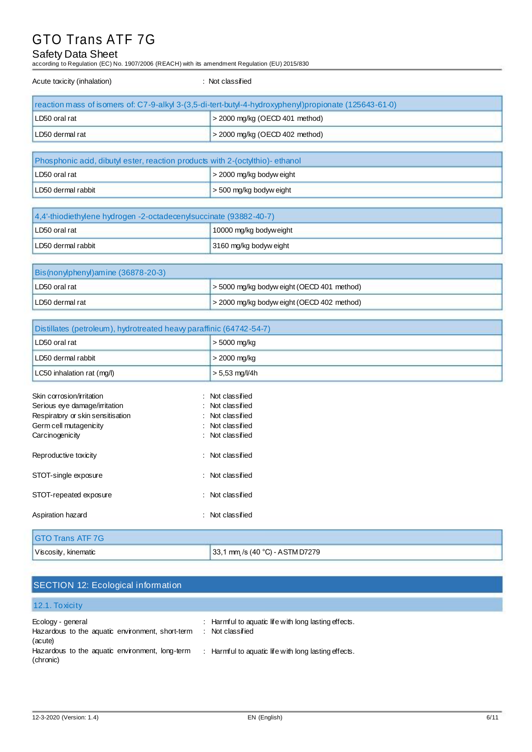### Safety Data Sheet

according to Regulation (EC) No. 1907/2006 (REACH) with its amendment Regulation (EU) 2015/830

| Acute toxicity (inhalation)                                                                           | : Not classified                 |  |
|-------------------------------------------------------------------------------------------------------|----------------------------------|--|
| reaction mass of isomers of: C7-9-alkyl 3-(3,5-di-tert-butyl-4-hydroxyphenyl)propionate (125643-61-0) |                                  |  |
| LD50 oral rat                                                                                         | $>$ 2000 mg/kg (OECD 401 method) |  |
| LD50 dermal rat                                                                                       | $>$ 2000 mg/kg (OECD 402 method) |  |
|                                                                                                       |                                  |  |

| Phosphonic acid, dibutyl ester, reaction products with 2-(octylthio)-ethanol |                              |
|------------------------------------------------------------------------------|------------------------------|
| LD50 oral rat                                                                | s 2000 mg/kg bodyw eight     |
| LD50 dermal rabbit                                                           | $\geq$ 500 mg/kg bodyw eight |

| 4,4'-thiodiethylene hydrogen -2-octadecenylsuccinate (93882-40-7) |                        |
|-------------------------------------------------------------------|------------------------|
| LD50 oral rat                                                     | 10000 mg/kg bodyweight |
| LD50 dermal rabbit                                                | 3160 mg/kg bodyw eight |

| Bis(nonylphenyl) amine (36878-20-3) |                                                 |  |
|-------------------------------------|-------------------------------------------------|--|
| LD50 oral rat                       | s 5000 mg/kg bodyw eight (OECD 401 method)      |  |
| LD50 dermal rat                     | $\geq$ 2000 mg/kg bodyw eight (OECD 402 method) |  |

| Distillates (petroleum), hydrotreated heavy paraffinic (64742-54-7) |                                 |  |
|---------------------------------------------------------------------|---------------------------------|--|
| LD50 oral rat                                                       | $> 5000$ mg/kg                  |  |
| LD50 dermal rabbit                                                  | > 2000 mg/kg                    |  |
| LC50 inhalation rat (mg/l)                                          | $> 5,53$ mg/l/4h                |  |
| Skin corrosion/irritation                                           | Not classified                  |  |
| Serious eye damage/irritation                                       | Not classified                  |  |
| Respiratory or skin sensitisation                                   | : Not classified                |  |
| Germ cell mutagenicity                                              | Not classified                  |  |
| Carcinogenicity                                                     | Not classified                  |  |
| Reproductive toxicity                                               | : Not classified                |  |
| STOT-single exposure                                                | Not classified                  |  |
| STOT-repeated exposure                                              | : Not classified                |  |
| Aspiration hazard                                                   | Not classified<br>٠.            |  |
| <b>GTO Trans ATF 7G</b>                                             |                                 |  |
| Viscosity, kinematic                                                | 33,1 mm /s (40 °C) - ASTM D7279 |  |

### SECTION 12: Ecological information

#### 12.1. Toxicity Ecology - general Hazardous to the aquatic environment, short-term (acute) Hazardous to the aquatic environment, long-term (chronic) : Harmful to aquatic life with long lasting effects. : Not classified : Harmful to aquatic life with long lasting effects.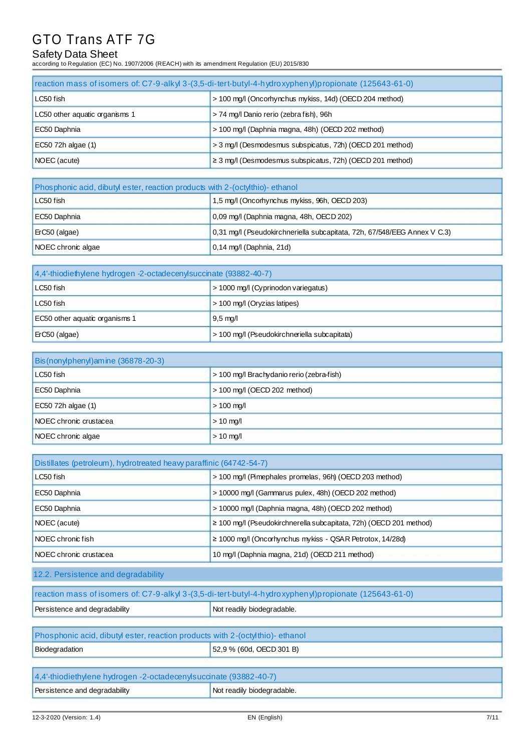### Safety Data Sheet

according to Regulation (EC) No. 1907/2006 (REACH) with its amendment Regulation (EU) 2015/830

| reaction mass of isomers of: C7-9-alkyl 3-(3,5-di-tert-butyl-4-hydroxyphenyl) propionate (125643-61-0) |                                                                |  |
|--------------------------------------------------------------------------------------------------------|----------------------------------------------------------------|--|
| LC50 fish                                                                                              | > 100 mg/l (Oncorhynchus mykiss, 14d) (OECD 204 method)        |  |
| LC50 other aquatic organisms 1                                                                         | > 74 mg/l Danio rerio (zebra fish), 96h                        |  |
| EC50 Daphnia                                                                                           | > 100 mg/l (Daphnia magna, 48h) (OECD 202 method)              |  |
| EC50 72h algae (1)                                                                                     | > 3 mg/l (Desmodesmus subspicatus, 72h) (OECD 201 method)      |  |
| NOEC (acute)                                                                                           | $\geq$ 3 mg/l (Desmodesmus subspicatus, 72h) (OECD 201 method) |  |

| Phosphonic acid, dibutyl ester, reaction products with 2-(octylthio)-ethanol                |                                          |  |  |  |
|---------------------------------------------------------------------------------------------|------------------------------------------|--|--|--|
| 1,5 mg/l (Oncorhynchus mykiss, 96h, OECD 203)<br>LC50 fish                                  |                                          |  |  |  |
| EC50 Daphnia                                                                                | 0,09 mg/l (Daphnia magna, 48h, OECD 202) |  |  |  |
| 0,31 mg/l (Pseudokirchneriella subcapitata, 72h, 67/548/EEG Annex V C.3)<br>$ETC50$ (algae) |                                          |  |  |  |
| NOEC chronic algae<br>$0,14$ mg/l (Daphnia, 21d)                                            |                                          |  |  |  |

| [4,4'-thiodiethylene hydrogen -2-octadecenylsuccinate (93882-40-7) |                                |  |  |
|--------------------------------------------------------------------|--------------------------------|--|--|
| > 1000 mg/l (Cyprinodon variegatus)<br>LC50 fish                   |                                |  |  |
| LC50 fish                                                          | $>$ 100 mg/l (Oryzias latipes) |  |  |
| EC50 other aquatic organisms 1<br>$9,5 \text{ mg/l}$               |                                |  |  |
| > 100 mg/l (Pseudokirchneriella subcapitata)<br>$ E$ C50 (algae)   |                                |  |  |

| Bis (nonylphenyl) amine (36878-20-3)                   |                                |  |  |
|--------------------------------------------------------|--------------------------------|--|--|
| LC50 fish<br>> 100 mg/l Brachydanio rerio (zebra-fish) |                                |  |  |
| EC50 Daphnia                                           | $>$ 100 mg/l (OECD 202 method) |  |  |
| EC50 72h algae (1)<br>$> 100$ mg/l                     |                                |  |  |
| <b>NOEC</b> chronic crustacea                          | $> 10$ mg/l                    |  |  |
| NOEC chronic algae<br>$> 10$ mg/l                      |                                |  |  |

| Distillates (petroleum), hydrotreated heavy paraffinic (64742-54-7)                     |                                                     |  |
|-----------------------------------------------------------------------------------------|-----------------------------------------------------|--|
| > 100 mg/l (Pimephales promelas, 96h) (OECD 203 method)<br>LC50 fish                    |                                                     |  |
| > 10000 mg/l (Gammarus pulex, 48h) (OECD 202 method)<br>EC50 Daphnia                    |                                                     |  |
| EC50 Daphnia                                                                            | > 10000 mg/l (Daphnia magna, 48h) (OECD 202 method) |  |
| $\geq$ 100 mg/l (Pseudokirchnerella subcapitata, 72h) (OECD 201 method)<br>NOEC (acute) |                                                     |  |
| $\geq$ 1000 mg/l (Oncorhynchus mykiss - QSAR Petrotox, 14/28d)<br>I NOEC chronic fish   |                                                     |  |
| 10 mg/l (Daphnia magna, 21d) (OECD 211 method)<br>INOEC chronic crustacea               |                                                     |  |

12.2. Persistence and degradability

| reaction mass of isomers of: C7-9-alkyl 3-(3,5-di-tert-butyl-4-hydroxyphenyl) propionate (125643-61-0) |                            |  |
|--------------------------------------------------------------------------------------------------------|----------------------------|--|
| Persistence and degradability                                                                          | Not readily biodegradable. |  |

| Phosphonic acid, dibutyl ester, reaction products with 2-(octyl thio)- ethanol |  |  |
|--------------------------------------------------------------------------------|--|--|
| 52,9 % (60d, OECD 301 B)<br>Biodegradation                                     |  |  |
|                                                                                |  |  |
| 4,4'-thiodiethylene hydrogen -2-octadecenylsuccinate (93882-40-7)              |  |  |
| Persistence and degradability<br>Not readily biodegradable.                    |  |  |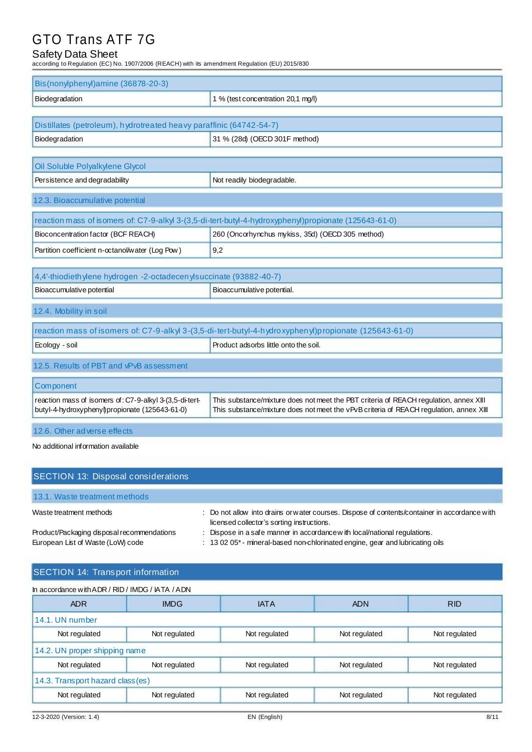### Safety Data Sheet

according to Regulation (EC) No. 1907/2006 (REACH) with its amendment Regulation (EU) 2015/830

| Bis(nonylphenyl)amine (36878-20-3)                                                                        |                                                                                                                                                                                 |  |  |
|-----------------------------------------------------------------------------------------------------------|---------------------------------------------------------------------------------------------------------------------------------------------------------------------------------|--|--|
| Biodegradation                                                                                            | 1 % (test concentration 20,1 mg/l)                                                                                                                                              |  |  |
|                                                                                                           |                                                                                                                                                                                 |  |  |
| Distillates (petroleum), hydrotreated heavy paraffinic (64742-54-7)                                       |                                                                                                                                                                                 |  |  |
| Biodegradation                                                                                            | 31 % (28d) (OECD 301F method)                                                                                                                                                   |  |  |
|                                                                                                           |                                                                                                                                                                                 |  |  |
| Oil Soluble Polyalkylene Glycol                                                                           |                                                                                                                                                                                 |  |  |
| Persistence and degradability                                                                             | Not readily biodegradable.                                                                                                                                                      |  |  |
| 12.3. Bioaccumulative potential                                                                           |                                                                                                                                                                                 |  |  |
|                                                                                                           | reaction mass of isomers of: C7-9-alkyl 3-(3,5-di-tert-butyl-4-hydroxyphenyl)propionate (125643-61-0)                                                                           |  |  |
| Bioconcentration factor (BCF REACH)                                                                       | 260 (Oncorhynchus mykiss, 35d) (OECD 305 method)                                                                                                                                |  |  |
| Partition coefficient n-octanol/water (Log Pow)                                                           | 9,2                                                                                                                                                                             |  |  |
|                                                                                                           |                                                                                                                                                                                 |  |  |
| 4,4'-thiodieth ylene hydrogen -2-octadecen ylsuccinate (93882-40-7)                                       |                                                                                                                                                                                 |  |  |
| Bioaccumulative potential<br>Bioaccumulative potential.                                                   |                                                                                                                                                                                 |  |  |
| 12.4. Mobility in soil                                                                                    |                                                                                                                                                                                 |  |  |
|                                                                                                           | reaction mass of isomers of: C7-9-alkyl 3-(3,5-di-tert-butyl-4-hydroxyphenyl)propionate (125643-61-0)                                                                           |  |  |
| Ecology - soil                                                                                            | Product adsorbs little onto the soil.                                                                                                                                           |  |  |
| 12.5. Results of PBT and vPvB assessment                                                                  |                                                                                                                                                                                 |  |  |
| Component                                                                                                 |                                                                                                                                                                                 |  |  |
| reaction mass of isomers of: C7-9-alkyl 3-(3,5-di-tert-<br>butyl-4-hydroxyphenyl\propionate (125643-61-0) | This substance/mixture does not meet the PBT criteria of REACH regulation, annex XIII<br>This substance/mixture does not meet the vPvB criteria of REACH regulation, annex XIII |  |  |
| 12.6. Other adverse effects                                                                               |                                                                                                                                                                                 |  |  |

No additional information available

| <b>SECTION 13: Disposal considerations</b>                                      |                                                                                                                                                            |
|---------------------------------------------------------------------------------|------------------------------------------------------------------------------------------------------------------------------------------------------------|
| 13.1. Waste treatment methods                                                   |                                                                                                                                                            |
| Waste treatment methods                                                         | : Do not allow into drains or water courses. Dispose of contents/container in accordance with<br>licensed collector's sorting instructions.                |
| Product/Packaging disposal recommendations<br>European List of Waste (LoW) code | : Dispose in a safe manner in accordance with local/national regulations.<br>: 13 02 05* - mineral-based non-chlorinated engine, gear and lubricating oils |

### SECTION 14: Transport information

| In accordance with ADR / RID / IMDG / IATA / ADN                                  |                                                                  |               |               |               |  |  |
|-----------------------------------------------------------------------------------|------------------------------------------------------------------|---------------|---------------|---------------|--|--|
| <b>ADR</b>                                                                        | <b>IMDG</b>                                                      | <b>IATA</b>   | <b>ADN</b>    | <b>RID</b>    |  |  |
| 14.1. UN number                                                                   |                                                                  |               |               |               |  |  |
| Not regulated                                                                     | Not regulated<br>Not regulated<br>Not regulated<br>Not regulated |               |               |               |  |  |
| 14.2. UN proper shipping name                                                     |                                                                  |               |               |               |  |  |
| Not regulated<br>Not regulated<br>Not regulated<br>Not regulated<br>Not regulated |                                                                  |               |               |               |  |  |
| 14.3. Transport hazard class (es)                                                 |                                                                  |               |               |               |  |  |
| Not regulated                                                                     | Not regulated                                                    | Not regulated | Not regulated | Not regulated |  |  |
|                                                                                   |                                                                  |               |               |               |  |  |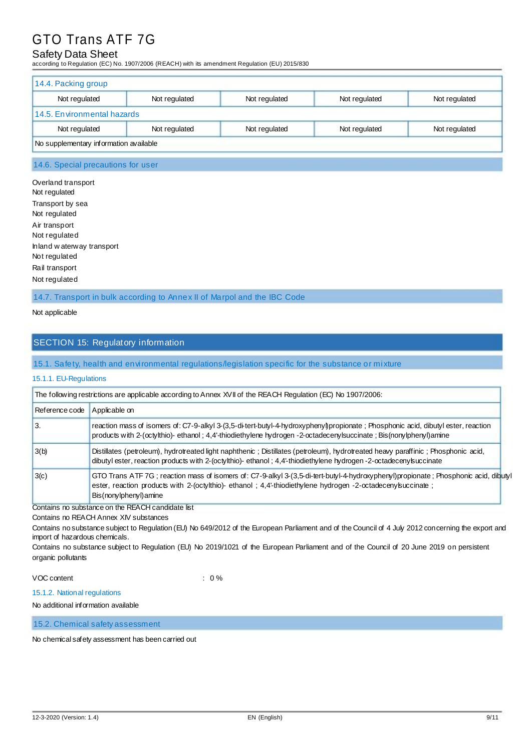### Safety Data Sheet

according to Regulation (EC) No. 1907/2006 (REACH) with its amendment Regulation (EU) 2015/830

| 14.4. Packing group                                                               |  |  |  |  |  |
|-----------------------------------------------------------------------------------|--|--|--|--|--|
| Not regulated<br>Not regulated<br>Not regulated<br>Not regulated<br>Not regulated |  |  |  |  |  |
| 14.5. Environmental hazards                                                       |  |  |  |  |  |
| Not regulated<br>Not regulated<br>Not regulated<br>Not regulated<br>Not regulated |  |  |  |  |  |
| No supplementary information available                                            |  |  |  |  |  |

#### 14.6. Special precautions for user

Overland transport Not regulated Transport by sea Not regulated Air transport Not regulated Inland w aterway transport Not regulated Rail transport Not regulated

14.7. Transport in bulk according to Annex II of Marpol and the IBC Code

Not applicable

### SECTION 15: Regulatory information

#### 15.1. Safety, health and environmental regulations/legislation specific for the substance or mixture

#### 15.1.1. EU-Regulations

| The following restrictions are applicable according to Annex XVII of the REACH Regulation (EC) No 1907/2006: |                                                                                                                                                                                                                                                                              |  |
|--------------------------------------------------------------------------------------------------------------|------------------------------------------------------------------------------------------------------------------------------------------------------------------------------------------------------------------------------------------------------------------------------|--|
| Reference code                                                                                               | Applicable on                                                                                                                                                                                                                                                                |  |
| l 3.                                                                                                         | reaction mass of isomers of: C7-9-alkyl 3-(3,5-di-tert-butyl-4-hydroxyphenyl)propionate; Phosphonic acid, dibutyl ester, reaction<br>products with 2-(octylthio)- ethanol; 4,4'-thiodiethylene hydrogen -2-octadecenylsuccinate; Bis(nonylphenyl)amine                       |  |
| 3(b)                                                                                                         | Distillates (petroleum), hydrotreated light naphthenic; Distillates (petroleum), hydrotreated heavy paraffinic; Phosphonic acid,<br>dibutyl ester, reaction products with 2-(octylthio)-ethanol; 4,4'-thiodiethylene hydrogen -2-octadecenylsuccinate                        |  |
| 3(c)                                                                                                         | GTO Trans ATF 7G; reaction mass of isomers of: C7-9-alkyl 3-(3,5-di-tert-butyl-4-hydroxyphenyl)propionate; Phosphonic acid, dibutyl<br>ester, reaction products with 2-(octylthio)- ethanol; 4,4'-thiodiethylene hydrogen -2-octadeceny succinate;<br>Bis(nonylphenyl) amine |  |

#### Contains no substance on the REACH candidate list

Contains no REACH Annex XIV substances

Contains no substance subject to Regulation (EU) No 649/2012 of the European Parliament and of the Council of 4 July 2012 concerning the export and import of hazardous chemicals.

Contains no substance subject to Regulation (EU) No 2019/1021 of the European Parliament and of the Council of 20 June 2019 on persistent organic pollutants

#### VOC content : 0 %

#### 15.1.2. National regulations

No additional information available

15.2. Chemical safety assessment

No chemical safety assessment has been carried out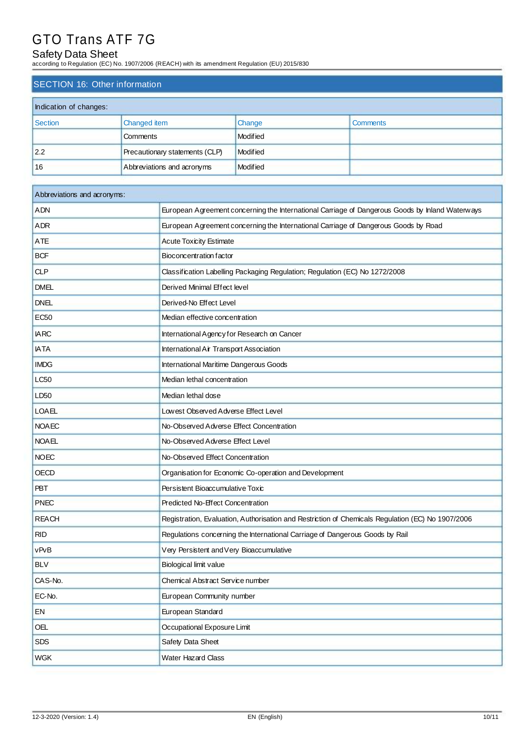### Safety Data Sheet

according to Regulation (EC) No. 1907/2006 (REACH) with its amendment Regulation (EU) 2015/830

### SECTION 16: Other information

| Indication of changes: |                                |          |                 |
|------------------------|--------------------------------|----------|-----------------|
| Section                | <b>Changed item</b>            | Change   | <b>Comments</b> |
|                        | Comments                       | Modified |                 |
| 2.2                    | Precautionary statements (CLP) | Modified |                 |
| 16                     | Abbreviations and acronyms     | Modified |                 |

| Abbreviations and acronyms: |                                                                                                   |  |
|-----------------------------|---------------------------------------------------------------------------------------------------|--|
| <b>ADN</b>                  | European Agreement concerning the International Carriage of Dangerous Goods by Inland Waterways   |  |
| ADR                         | European Agreement concerning the International Carriage of Dangerous Goods by Road               |  |
| <b>ATE</b>                  | <b>Acute Toxicity Estimate</b>                                                                    |  |
| <b>BCF</b>                  | Bioconcentration factor                                                                           |  |
| <b>CLP</b>                  | Classification Labelling Packaging Regulation; Regulation (EC) No 1272/2008                       |  |
| <b>DMEL</b>                 | Derived Minimal Effect level                                                                      |  |
| <b>DNEL</b>                 | Derived-No Effect Level                                                                           |  |
| <b>EC50</b>                 | Median effective concentration                                                                    |  |
| <b>IARC</b>                 | International Agency for Research on Cancer                                                       |  |
| <b>IATA</b>                 | International Air Transport Association                                                           |  |
| <b>IMDG</b>                 | International Maritime Dangerous Goods                                                            |  |
| LC50                        | Median lethal concentration                                                                       |  |
| LD <sub>50</sub>            | Median lethal dose                                                                                |  |
| <b>LOAEL</b>                | Lowest Observed Adverse Effect Level                                                              |  |
| <b>NOAEC</b>                | No-Observed Adverse Effect Concentration                                                          |  |
| <b>NOAEL</b>                | No-Observed Adverse Effect Level                                                                  |  |
| <b>NOEC</b>                 | No-Observed Effect Concentration                                                                  |  |
| <b>OECD</b>                 | Organisation for Economic Co-operation and Development                                            |  |
| <b>PBT</b>                  | Persistent Bioaccumulative Toxic                                                                  |  |
| <b>PNEC</b>                 | Predicted No-Effect Concentration                                                                 |  |
| <b>REACH</b>                | Registration, Evaluation, Authorisation and Restriction of Chemicals Regulation (EC) No 1907/2006 |  |
| <b>RID</b>                  | Regulations concerning the International Carriage of Dangerous Goods by Rail                      |  |
| vPvB                        | Very Persistent and Very Bioaccumulative                                                          |  |
| <b>BLV</b>                  | <b>Biological limit value</b>                                                                     |  |
| CAS-No.                     | Chemical Abstract Service number                                                                  |  |
| EC-No.                      | European Community number                                                                         |  |
| EN                          | European Standard                                                                                 |  |
| OEL                         | Occupational Exposure Limit                                                                       |  |
| <b>SDS</b>                  | Safety Data Sheet                                                                                 |  |
| <b>WGK</b>                  | Water Hazard Class                                                                                |  |